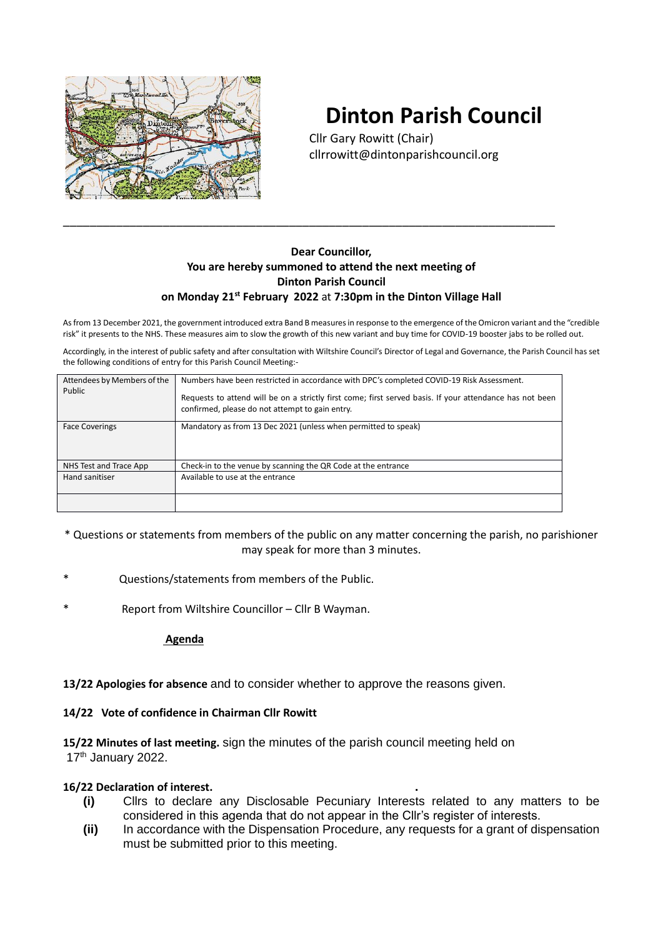

# **Dinton Parish Council**

Cllr Gary Rowitt (Chair) cllrrowitt@dintonparishcouncil.org

# **Dear Councillor, You are hereby summoned to attend the next meeting of Dinton Parish Council on Monday 21st February 2022** at **7:30pm in the Dinton Village Hall**

\_\_\_\_\_\_\_\_\_\_\_\_\_\_\_\_\_\_\_\_\_\_\_\_\_\_\_\_\_\_\_\_\_\_\_\_\_\_\_\_\_\_\_\_\_\_\_\_\_\_\_\_\_\_\_\_\_\_\_\_\_\_\_\_\_\_\_\_\_\_\_\_\_\_

As from 13 December 2021, the government introduced extra Band B measures in response to the emergence of the Omicron variant and the "credible risk" it presents to the NHS. These measures aim to slow the growth of this new variant and buy time for COVID-19 booster jabs to be rolled out.

Accordingly, in the interest of public safety and after consultation with Wiltshire Council's Director of Legal and Governance, the Parish Council has set the following conditions of entry for this Parish Council Meeting:-

| Attendees by Members of the<br>Public | Numbers have been restricted in accordance with DPC's completed COVID-19 Risk Assessment.<br>Requests to attend will be on a strictly first come; first served basis. If your attendance has not been<br>confirmed, please do not attempt to gain entry. |
|---------------------------------------|----------------------------------------------------------------------------------------------------------------------------------------------------------------------------------------------------------------------------------------------------------|
| <b>Face Coverings</b>                 | Mandatory as from 13 Dec 2021 (unless when permitted to speak)                                                                                                                                                                                           |
| NHS Test and Trace App                | Check-in to the venue by scanning the QR Code at the entrance                                                                                                                                                                                            |
| Hand sanitiser                        | Available to use at the entrance                                                                                                                                                                                                                         |
|                                       |                                                                                                                                                                                                                                                          |

\* Questions or statements from members of the public on any matter concerning the parish, no parishioner may speak for more than 3 minutes.

- Questions/statements from members of the Public.
- Report from Wiltshire Councillor Cllr B Wayman.

 **Agenda**

**13/22 Apologies for absence** and to consider whether to approve the reasons given.

#### **14/22 Vote of confidence in Chairman Cllr Rowitt**

**15/22 Minutes of last meeting.** sign the minutes of the parish council meeting held on 17<sup>th</sup> January 2022.

#### **16/22 Declaration of interest. .**

- **(i)** Cllrs to declare any Disclosable Pecuniary Interests related to any matters to be considered in this agenda that do not appear in the Cllr's register of interests.
- **(ii)** In accordance with the Dispensation Procedure, any requests for a grant of dispensation must be submitted prior to this meeting.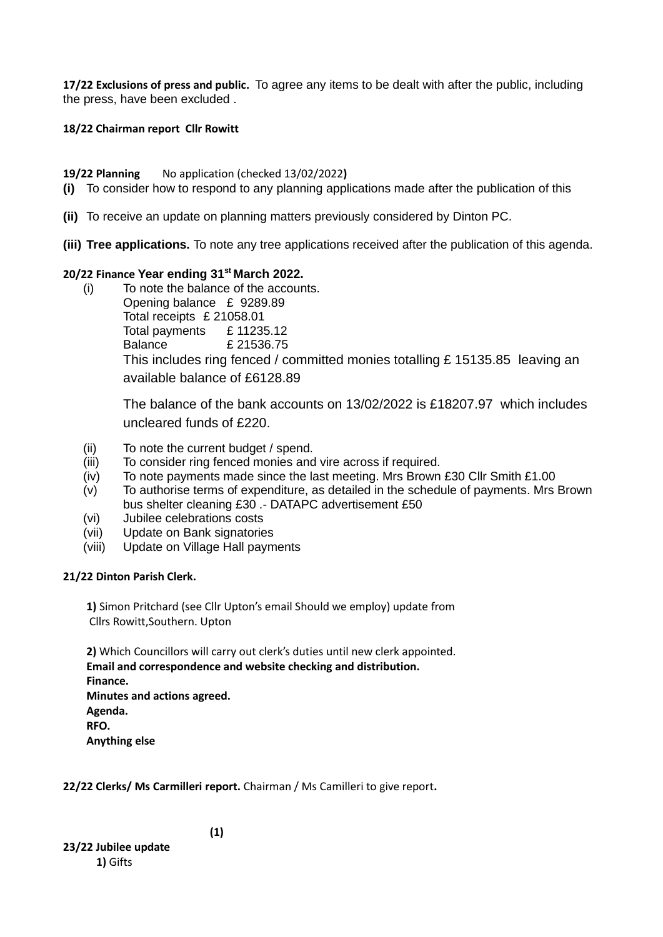**17/22 Exclusions of press and public.** To agree any items to be dealt with after the public, including the press, have been excluded .

## **18/22 Chairman report Cllr Rowitt**

**19/22 Planning** No application (checked 13/02/2022**)** 

- **(i)** To consider how to respond to any planning applications made after the publication of this
- **(ii)** To receive an update on planning matters previously considered by Dinton PC.
- **(iii) Tree applications.** To note any tree applications received after the publication of this agenda.

# **20/22 Finance Year ending 31st March 2022.**

(i) To note the balance of the accounts. Opening balance £ 9289.89 Total receipts £ 21058.01 Total payments £ 11235.12 Balance £ 21536.75 This includes ring fenced / committed monies totalling £ 15135.85 leaving an available balance of £6128.89

The balance of the bank accounts on 13/02/2022 is £18207.97 which includes uncleared funds of £220.

- (ii) To note the current budget / spend.
- (iii) To consider ring fenced monies and vire across if required.
- (iv) To note payments made since the last meeting. Mrs Brown £30 Cllr Smith £1.00
- (v) To authorise terms of expenditure, as detailed in the schedule of payments. Mrs Brown bus shelter cleaning £30 .- DATAPC advertisement £50
- (vi) Jubilee celebrations costs
- (vii) Update on Bank signatories
- (viii) Update on Village Hall payments

# **21/22 Dinton Parish Clerk.**

**1)** Simon Pritchard (see Cllr Upton's email Should we employ) update from Cllrs Rowitt,Southern. Upton

**2)** Which Councillors will carry out clerk's duties until new clerk appointed. **Email and correspondence and website checking and distribution. Finance. Minutes and actions agreed. Agenda. RFO.**

**Anything else**

**22/22 Clerks/ Ms Carmilleri report.** Chairman / Ms Camilleri to give report**.**